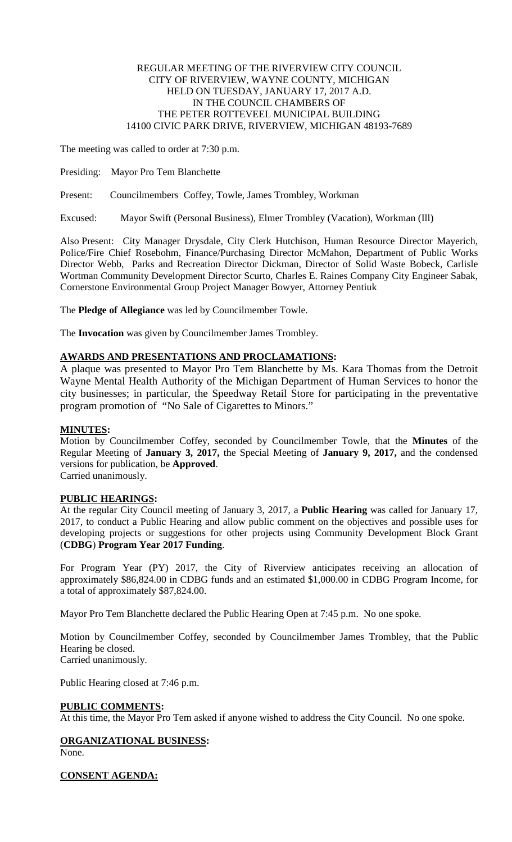### REGULAR MEETING OF THE RIVERVIEW CITY COUNCIL CITY OF RIVERVIEW, WAYNE COUNTY, MICHIGAN HELD ON TUESDAY, JANUARY 17, 2017 A.D. IN THE COUNCIL CHAMBERS OF THE PETER ROTTEVEEL MUNICIPAL BUILDING 14100 CIVIC PARK DRIVE, RIVERVIEW, MICHIGAN 48193-7689

The meeting was called to order at 7:30 p.m.

Presiding: Mayor Pro Tem Blanchette

Present: Councilmembers Coffey, Towle, James Trombley, Workman

Excused: Mayor Swift (Personal Business), Elmer Trombley (Vacation), Workman (Ill)

Also Present: City Manager Drysdale, City Clerk Hutchison, Human Resource Director Mayerich, Police/Fire Chief Rosebohm, Finance/Purchasing Director McMahon, Department of Public Works Director Webb, Parks and Recreation Director Dickman, Director of Solid Waste Bobeck, Carlisle Wortman Community Development Director Scurto, Charles E. Raines Company City Engineer Sabak, Cornerstone Environmental Group Project Manager Bowyer, Attorney Pentiuk

The **Pledge of Allegiance** was led by Councilmember Towle.

The **Invocation** was given by Councilmember James Trombley.

# **AWARDS AND PRESENTATIONS AND PROCLAMATIONS:**

A plaque was presented to Mayor Pro Tem Blanchette by Ms. Kara Thomas from the Detroit Wayne Mental Health Authority of the Michigan Department of Human Services to honor the city businesses; in particular, the Speedway Retail Store for participating in the preventative program promotion of "No Sale of Cigarettes to Minors."

### **MINUTES:**

Motion by Councilmember Coffey, seconded by Councilmember Towle, that the **Minutes** of the Regular Meeting of **January 3, 2017,** the Special Meeting of **January 9, 2017,** and the condensed versions for publication, be **Approved**.

Carried unanimously.

#### **PUBLIC HEARINGS:**

At the regular City Council meeting of January 3, 2017, a **Public Hearing** was called for January 17, 2017, to conduct a Public Hearing and allow public comment on the objectives and possible uses for developing projects or suggestions for other projects using Community Development Block Grant (**CDBG**) **Program Year 2017 Funding**.

For Program Year (PY) 2017, the City of Riverview anticipates receiving an allocation of approximately \$86,824.00 in CDBG funds and an estimated \$1,000.00 in CDBG Program Income, for a total of approximately \$87,824.00.

Mayor Pro Tem Blanchette declared the Public Hearing Open at 7:45 p.m. No one spoke.

Motion by Councilmember Coffey, seconded by Councilmember James Trombley, that the Public Hearing be closed. Carried unanimously.

Public Hearing closed at 7:46 p.m.

### **PUBLIC COMMENTS:**

At this time, the Mayor Pro Tem asked if anyone wished to address the City Council. No one spoke.

# **ORGANIZATIONAL BUSINESS:**

None.

### **CONSENT AGENDA:**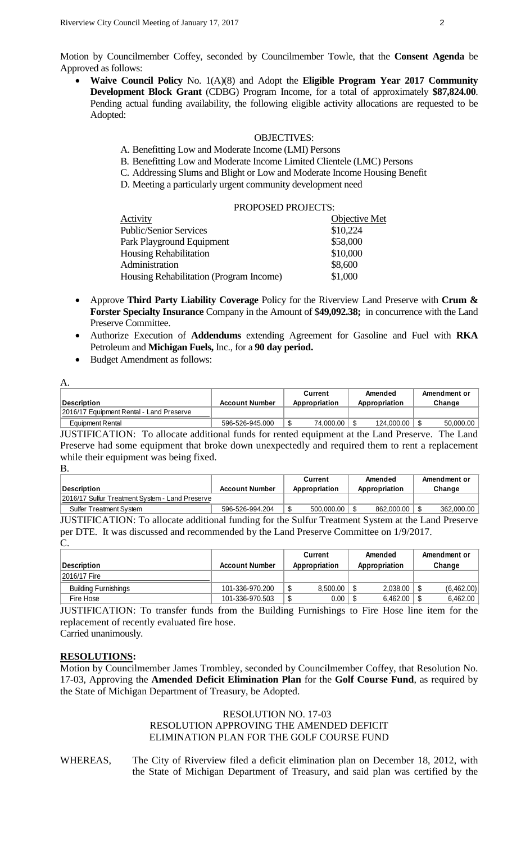Motion by Councilmember Coffey, seconded by Councilmember Towle, that the **Consent Agenda** be Approved as follows:

• **Waive Council Policy** No. 1(A)(8) and Adopt the **Eligible Program Year 2017 Community Development Block Grant** (CDBG) Program Income, for a total of approximately **\$87,824.00**. Pending actual funding availability, the following eligible activity allocations are requested to be Adopted:

### OBJECTIVES:

- A. Benefitting Low and Moderate Income (LMI) Persons
- B. Benefitting Low and Moderate Income Limited Clientele (LMC) Persons
- C. Addressing Slums and Blight or Low and Moderate Income Housing Benefit
- D. Meeting a particularly urgent community development need

|                                                | PROPOSED PROJECTS: |                      |
|------------------------------------------------|--------------------|----------------------|
| Activity                                       |                    | <b>Objective Met</b> |
| <b>Public/Senior Services</b>                  |                    | \$10,224             |
| Park Playground Equipment                      |                    | \$58,000             |
| <b>Housing Rehabilitation</b>                  |                    | \$10,000             |
| Administration                                 |                    | \$8,600              |
| <b>Housing Rehabilitation (Program Income)</b> |                    | \$1,000              |
|                                                |                    |                      |

- Approve **Third Party Liability Coverage** Policy for the Riverview Land Preserve with **Crum & Forster Specialty Insurance** Company in the Amount of \$**49,092.38;** in concurrence with the Land Preserve Committee.
- Authorize Execution of **Addendums** extending Agreement for Gasoline and Fuel with **RKA** Petroleum and **Michigan Fuels,** Inc., for a **90 day period.**
- Budget Amendment as follows:

| A.                                       |                       |                    |               |              |  |  |  |
|------------------------------------------|-----------------------|--------------------|---------------|--------------|--|--|--|
|                                          |                       | Amended<br>Current |               | Amendment or |  |  |  |
| Description                              | <b>Account Number</b> | Appropriation      | Appropriation | Change       |  |  |  |
| 2016/17 Equipment Rental - Land Preserve |                       |                    |               |              |  |  |  |
| <b>Equipment Rental</b>                  | 596-526-945.000       | 74,000.00          | 124,000.00    | 50,000.00    |  |  |  |

JUSTIFICATION: To allocate additional funds for rented equipment at the Land Preserve. The Land Preserve had some equipment that broke down unexpectedly and required them to rent a replacement while their equipment was being fixed.

|                                                 |                       | Current       |            | Amended       | Amendment or |
|-------------------------------------------------|-----------------------|---------------|------------|---------------|--------------|
| Description                                     | <b>Account Number</b> | Appropriation |            | Appropriation | Change       |
| 2016/17 Sulfur Treatment System - Land Preserve |                       |               |            |               |              |
| <b>Sulfer Treatment System</b>                  | 596-526-994.204       |               | 500,000.00 | 862,000.00    | 362,000.00   |

JUSTIFICATION: To allocate additional funding for the Sulfur Treatment System at the Land Preserve per DTE. It was discussed and recommended by the Land Preserve Committee on 1/9/2017. C.

| Description                 | <b>Account Number</b> | Amended<br>Current<br>Appropriation<br>Appropriation |          | Amendment or<br>Change |  |
|-----------------------------|-----------------------|------------------------------------------------------|----------|------------------------|--|
| 2016/17 Fire                |                       |                                                      |          |                        |  |
| <b>Building Furnishings</b> | 101-336-970.200       | 8,500.00                                             | 2.038.00 | (6,462.00)             |  |
| Fire Hose                   | 101-336-970.503       | 0.00                                                 | 6.462.00 | 6,462.00               |  |

JUSTIFICATION: To transfer funds from the Building Furnishings to Fire Hose line item for the replacement of recently evaluated fire hose.

Carried unanimously.

# **RESOLUTIONS:**

Motion by Councilmember James Trombley, seconded by Councilmember Coffey, that Resolution No. 17-03, Approving the **Amended Deficit Elimination Plan** for the **Golf Course Fund**, as required by the State of Michigan Department of Treasury, be Adopted.

# RESOLUTION NO. 17-03 RESOLUTION APPROVING THE AMENDED DEFICIT ELIMINATION PLAN FOR THE GOLF COURSE FUND

WHEREAS, The City of Riverview filed a deficit elimination plan on December 18, 2012, with the State of Michigan Department of Treasury, and said plan was certified by the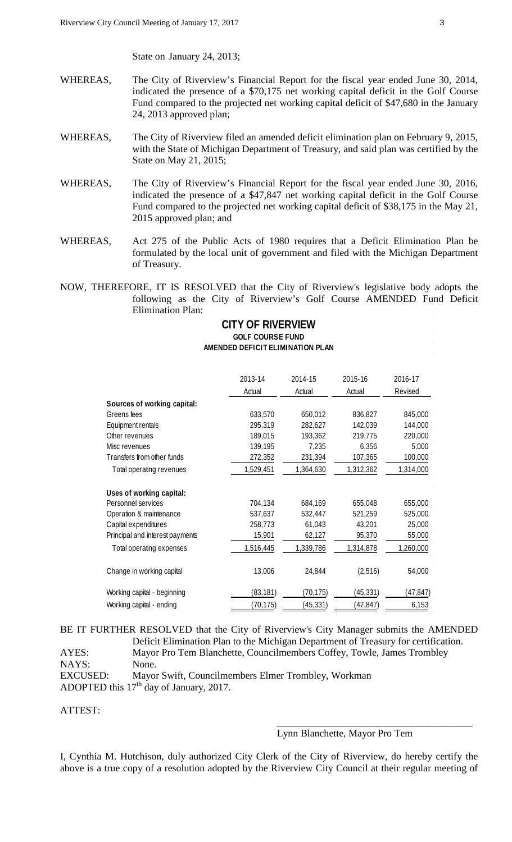State on January 24, 2013;

- WHEREAS, The City of Riverview's Financial Report for the fiscal year ended June 30, 2014, indicated the presence of a \$70,175 net working capital deficit in the Golf Course Fund compared to the projected net working capital deficit of \$47,680 in the January 24, 2013 approved plan;
- WHEREAS, The City of Riverview filed an amended deficit elimination plan on February 9, 2015, with the State of Michigan Department of Treasury, and said plan was certified by the State on May 21, 2015;
- WHEREAS, The City of Riverview's Financial Report for the fiscal year ended June 30, 2016, indicated the presence of a \$47,847 net working capital deficit in the Golf Course Fund compared to the projected net working capital deficit of \$38,175 in the May 21, 2015 approved plan; and
- WHEREAS, Act 275 of the Public Acts of 1980 requires that a Deficit Elimination Plan be formulated by the local unit of government and filed with the Michigan Department of Treasury.
- NOW, THEREFORE, IT IS RESOLVED that the City of Riverview's legislative body adopts the following as the City of Riverview's Golf Course AMENDED Fund Deficit Elimination Plan:

# **CITY OF RIVERVIEW GOLF COURSE FUND AMENDED DEFICIT ELIMINATION PLAN**

|                                 | 2013-14   | 2014-15   | 2015-16   | 2016-17   |  |
|---------------------------------|-----------|-----------|-----------|-----------|--|
|                                 | Actual    | Actual    | Actual    | Revised   |  |
| Sources of working capital:     |           |           |           |           |  |
| Greens fees                     | 633,570   | 650,012   | 836,827   | 845,000   |  |
| Equipment rentals               | 295,319   | 282,627   | 142,039   | 144,000   |  |
| Other revenues                  | 189,015   | 193,362   | 219,775   | 220,000   |  |
| Misc revenues                   | 139,195   | 7,235     | 6,356     | 5,000     |  |
| Transfers from other funds      | 272,352   | 231,394   | 107,365   | 100,000   |  |
| Total operating revenues        | 1,529,451 | 1,364,630 | 1,312,362 | 1,314,000 |  |
| Uses of working capital:        |           |           |           |           |  |
| Personnel services              | 704,134   | 684,169   | 655,048   | 655,000   |  |
| Operation & maintenance         | 537,637   | 532,447   | 521,259   | 525,000   |  |
| Capital expenditures            | 258,773   | 61,043    | 43,201    | 25,000    |  |
| Principal and interest payments | 15,901    | 62,127    | 95,370    | 55,000    |  |
| Total operating expenses        | 1,516,445 | 1,339,786 | 1,314,878 | 1,260,000 |  |
| Change in working capital       | 13,006    | 24,844    | (2,516)   | 54,000    |  |
| Working capital - beginning     | (83, 181) | (70, 175) | (45, 331) | (47,847)  |  |
| Working capital - ending        | (70,175)  | (45, 331) | (47, 847) | 6,153     |  |

BE IT FURTHER RESOLVED that the City of Riverview's City Manager submits the AMENDED Deficit Elimination Plan to the Michigan Department of Treasury for certification. AYES: Mayor Pro Tem Blanchette, Councilmembers Coffey, Towle, James Trombley

NAYS: None. EXCUSED: Mayor Swift, Councilmembers Elmer Trombley, Workman ADOPTED this  $17<sup>th</sup>$  day of January, 2017.

# ATTEST:

# Lynn Blanchette, Mayor Pro Tem

\_\_\_\_\_\_\_\_\_\_\_\_\_\_\_\_\_\_\_\_\_\_\_\_\_\_\_\_\_\_\_\_\_\_\_\_\_\_\_

I, Cynthia M. Hutchison, duly authorized City Clerk of the City of Riverview, do hereby certify the above is a true copy of a resolution adopted by the Riverview City Council at their regular meeting of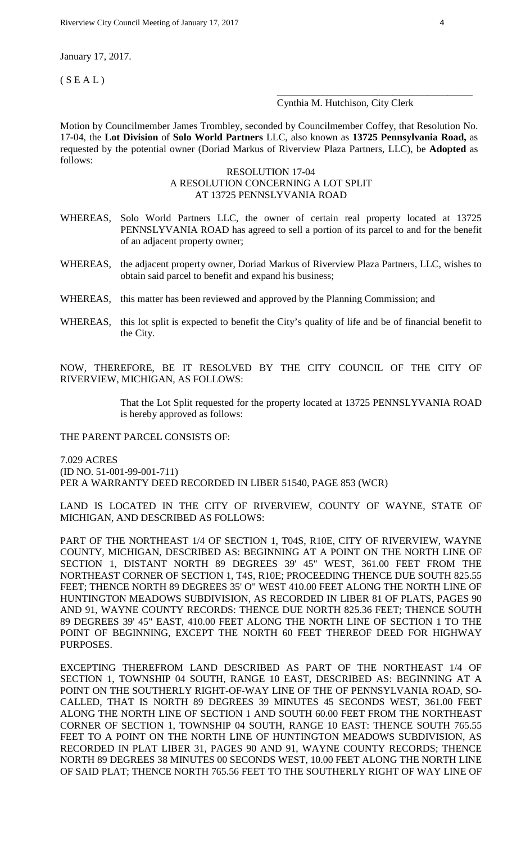January 17, 2017.

 $(S E A L)$ 

# Cynthia M. Hutchison, City Clerk

\_\_\_\_\_\_\_\_\_\_\_\_\_\_\_\_\_\_\_\_\_\_\_\_\_\_\_\_\_\_\_\_\_\_\_\_\_\_\_

Motion by Councilmember James Trombley, seconded by Councilmember Coffey, that Resolution No. 17-04, the **Lot Division** of **Solo World Partners** LLC, also known as **13725 Pennsylvania Road,** as requested by the potential owner (Doriad Markus of Riverview Plaza Partners, LLC), be **Adopted** as follows:

### RESOLUTION 17-04 A RESOLUTION CONCERNING A LOT SPLIT AT 13725 PENNSLYVANIA ROAD

- WHEREAS, Solo World Partners LLC, the owner of certain real property located at 13725 PENNSLYVANIA ROAD has agreed to sell a portion of its parcel to and for the benefit of an adjacent property owner;
- WHEREAS, the adjacent property owner, Doriad Markus of Riverview Plaza Partners, LLC, wishes to obtain said parcel to benefit and expand his business;
- WHEREAS, this matter has been reviewed and approved by the Planning Commission; and
- WHEREAS, this lot split is expected to benefit the City's quality of life and be of financial benefit to the City.

NOW, THEREFORE, BE IT RESOLVED BY THE CITY COUNCIL OF THE CITY OF RIVERVIEW, MICHIGAN, AS FOLLOWS:

> That the Lot Split requested for the property located at 13725 PENNSLYVANIA ROAD is hereby approved as follows:

#### THE PARENT PARCEL CONSISTS OF:

7.029 ACRES (ID NO. 51-001-99-001-711) PER A WARRANTY DEED RECORDED IN LIBER 51540, PAGE 853 (WCR)

LAND IS LOCATED IN THE CITY OF RIVERVIEW, COUNTY OF WAYNE, STATE OF MICHIGAN, AND DESCRIBED AS FOLLOWS:

PART OF THE NORTHEAST 1/4 OF SECTION 1, T04S, R10E, CITY OF RIVERVIEW, WAYNE COUNTY, MICHIGAN, DESCRIBED AS: BEGINNING AT A POINT ON THE NORTH LINE OF SECTION 1, DISTANT NORTH 89 DEGREES 39' 45" WEST, 361.00 FEET FROM THE NORTHEAST CORNER OF SECTION 1, T4S, R10E; PROCEEDING THENCE DUE SOUTH 825.55 FEET; THENCE NORTH 89 DEGREES 35' O" WEST 410.00 FEET ALONG THE NORTH LINE OF HUNTINGTON MEADOWS SUBDIVISION, AS RECORDED IN LIBER 81 OF PLATS, PAGES 90 AND 91, WAYNE COUNTY RECORDS: THENCE DUE NORTH 825.36 FEET; THENCE SOUTH 89 DEGREES 39' 45" EAST, 410.00 FEET ALONG THE NORTH LINE OF SECTION 1 TO THE POINT OF BEGINNING, EXCEPT THE NORTH 60 FEET THEREOF DEED FOR HIGHWAY PURPOSES.

EXCEPTING THEREFROM LAND DESCRIBED AS PART OF THE NORTHEAST 1/4 OF SECTION 1, TOWNSHIP 04 SOUTH, RANGE 10 EAST, DESCRIBED AS: BEGINNING AT A POINT ON THE SOUTHERLY RIGHT-OF-WAY LINE OF THE OF PENNSYLVANIA ROAD, SO-CALLED, THAT IS NORTH 89 DEGREES 39 MINUTES 45 SECONDS WEST, 361.00 FEET ALONG THE NORTH LINE OF SECTION 1 AND SOUTH 60.00 FEET FROM THE NORTHEAST CORNER OF SECTION 1, TOWNSHIP 04 SOUTH, RANGE 10 EAST: THENCE SOUTH 765.55 FEET TO A POINT ON THE NORTH LINE OF HUNTINGTON MEADOWS SUBDIVISION, AS RECORDED IN PLAT LIBER 31, PAGES 90 AND 91, WAYNE COUNTY RECORDS; THENCE NORTH 89 DEGREES 38 MINUTES 00 SECONDS WEST, 10.00 FEET ALONG THE NORTH LINE OF SAID PLAT; THENCE NORTH 765.56 FEET TO THE SOUTHERLY RIGHT OF WAY LINE OF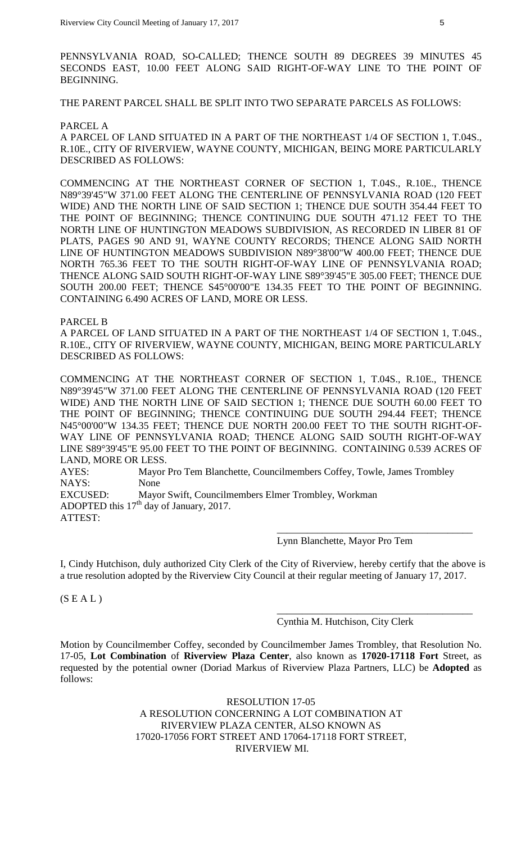PENNSYLVANIA ROAD, SO-CALLED; THENCE SOUTH 89 DEGREES 39 MINUTES 45 SECONDS EAST, 10.00 FEET ALONG SAID RIGHT-OF-WAY LINE TO THE POINT OF BEGINNING.

THE PARENT PARCEL SHALL BE SPLIT INTO TWO SEPARATE PARCELS AS FOLLOWS:

#### PARCEL A

A PARCEL OF LAND SITUATED IN A PART OF THE NORTHEAST 1/4 OF SECTION 1, T.04S., R.10E., CITY OF RIVERVIEW, WAYNE COUNTY, MICHIGAN, BEING MORE PARTICULARLY DESCRIBED AS FOLLOWS:

COMMENCING AT THE NORTHEAST CORNER OF SECTION 1, T.04S., R.10E., THENCE N89°39'45"W 371.00 FEET ALONG THE CENTERLINE OF PENNSYLVANIA ROAD (120 FEET WIDE) AND THE NORTH LINE OF SAID SECTION 1; THENCE DUE SOUTH 354.44 FEET TO THE POINT OF BEGINNING; THENCE CONTINUING DUE SOUTH 471.12 FEET TO THE NORTH LINE OF HUNTINGTON MEADOWS SUBDIVISION, AS RECORDED IN LIBER 81 OF PLATS, PAGES 90 AND 91, WAYNE COUNTY RECORDS; THENCE ALONG SAID NORTH LINE OF HUNTINGTON MEADOWS SUBDIVISION N89°38'00"W 400.00 FEET; THENCE DUE NORTH 765.36 FEET TO THE SOUTH RIGHT-OF-WAY LINE OF PENNSYLVANIA ROAD; THENCE ALONG SAID SOUTH RIGHT-OF-WAY LINE S89°39'45"E 305.00 FEET; THENCE DUE SOUTH 200.00 FEET; THENCE S45°00'00"E 134.35 FEET TO THE POINT OF BEGINNING. CONTAINING 6.490 ACRES OF LAND, MORE OR LESS.

PARCEL B

A PARCEL OF LAND SITUATED IN A PART OF THE NORTHEAST 1/4 OF SECTION 1, T.04S., R.10E., CITY OF RIVERVIEW, WAYNE COUNTY, MICHIGAN, BEING MORE PARTICULARLY DESCRIBED AS FOLLOWS:

COMMENCING AT THE NORTHEAST CORNER OF SECTION 1, T.04S., R.10E., THENCE N89°39'45"W 371.00 FEET ALONG THE CENTERLINE OF PENNSYLVANIA ROAD (120 FEET WIDE) AND THE NORTH LINE OF SAID SECTION 1; THENCE DUE SOUTH 60.00 FEET TO THE POINT OF BEGINNING; THENCE CONTINUING DUE SOUTH 294.44 FEET; THENCE N45°00'00"W 134.35 FEET; THENCE DUE NORTH 200.00 FEET TO THE SOUTH RIGHT-OF-WAY LINE OF PENNSYLVANIA ROAD; THENCE ALONG SAID SOUTH RIGHT-OF-WAY LINE S89°39'45"E 95.00 FEET TO THE POINT OF BEGINNING. CONTAINING 0.539 ACRES OF LAND, MORE OR LESS.

AYES: Mayor Pro Tem Blanchette, Councilmembers Coffey, Towle, James Trombley NAYS: None EXCUSED: Mayor Swift, Councilmembers Elmer Trombley, Workman ADOPTED this  $17<sup>th</sup>$  day of January, 2017. ATTEST: \_\_\_\_\_\_\_\_\_\_\_\_\_\_\_\_\_\_\_\_\_\_\_\_\_\_\_\_\_\_\_\_\_\_\_\_\_\_\_

Lynn Blanchette, Mayor Pro Tem

I, Cindy Hutchison, duly authorized City Clerk of the City of Riverview, hereby certify that the above is a true resolution adopted by the Riverview City Council at their regular meeting of January 17, 2017.

 $(S E A L)$ 

Cynthia M. Hutchison, City Clerk

\_\_\_\_\_\_\_\_\_\_\_\_\_\_\_\_\_\_\_\_\_\_\_\_\_\_\_\_\_\_\_\_\_\_\_\_\_\_\_

Motion by Councilmember Coffey, seconded by Councilmember James Trombley, that Resolution No. 17-05, **Lot Combination** of **Riverview Plaza Center**, also known as **17020-17118 Fort** Street, as requested by the potential owner (Doriad Markus of Riverview Plaza Partners, LLC) be **Adopted** as follows:

> RESOLUTION 17-05 A RESOLUTION CONCERNING A LOT COMBINATION AT RIVERVIEW PLAZA CENTER, ALSO KNOWN AS 17020-17056 FORT STREET AND 17064-17118 FORT STREET, RIVERVIEW MI.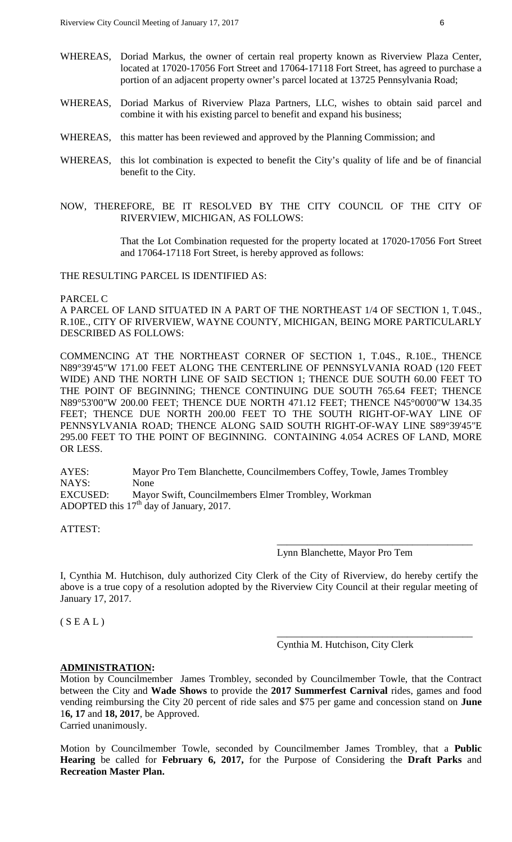- WHEREAS, Doriad Markus, the owner of certain real property known as Riverview Plaza Center, located at 17020-17056 Fort Street and 17064-17118 Fort Street, has agreed to purchase a portion of an adjacent property owner's parcel located at 13725 Pennsylvania Road;
- WHEREAS, Doriad Markus of Riverview Plaza Partners, LLC, wishes to obtain said parcel and combine it with his existing parcel to benefit and expand his business;
- WHEREAS, this matter has been reviewed and approved by the Planning Commission; and
- WHEREAS, this lot combination is expected to benefit the City's quality of life and be of financial benefit to the City.
- NOW, THEREFORE, BE IT RESOLVED BY THE CITY COUNCIL OF THE CITY OF RIVERVIEW, MICHIGAN, AS FOLLOWS:

That the Lot Combination requested for the property located at 17020-17056 Fort Street and 17064-17118 Fort Street, is hereby approved as follows:

THE RESULTING PARCEL IS IDENTIFIED AS:

### PARCEL C

A PARCEL OF LAND SITUATED IN A PART OF THE NORTHEAST 1/4 OF SECTION 1, T.04S., R.10E., CITY OF RIVERVIEW, WAYNE COUNTY, MICHIGAN, BEING MORE PARTICULARLY DESCRIBED AS FOLLOWS:

COMMENCING AT THE NORTHEAST CORNER OF SECTION 1, T.04S., R.10E., THENCE N89°39'45"W 171.00 FEET ALONG THE CENTERLINE OF PENNSYLVANIA ROAD (120 FEET WIDE) AND THE NORTH LINE OF SAID SECTION 1; THENCE DUE SOUTH 60.00 FEET TO THE POINT OF BEGINNING; THENCE CONTINUING DUE SOUTH 765.64 FEET; THENCE N89°53'00"W 200.00 FEET; THENCE DUE NORTH 471.12 FEET; THENCE N45°00'00"W 134.35 FEET; THENCE DUE NORTH 200.00 FEET TO THE SOUTH RIGHT-OF-WAY LINE OF PENNSYLVANIA ROAD; THENCE ALONG SAID SOUTH RIGHT-OF-WAY LINE S89°39'45"E 295.00 FEET TO THE POINT OF BEGINNING. CONTAINING 4.054 ACRES OF LAND, MORE OR LESS.

AYES: Mayor Pro Tem Blanchette, Councilmembers Coffey, Towle, James Trombley NAYS: None EXCUSED: Mayor Swift, Councilmembers Elmer Trombley, Workman ADOPTED this  $17<sup>th</sup>$  day of January, 2017.

ATTEST:

Lynn Blanchette, Mayor Pro Tem

\_\_\_\_\_\_\_\_\_\_\_\_\_\_\_\_\_\_\_\_\_\_\_\_\_\_\_\_\_\_\_\_\_\_\_\_\_\_\_

\_\_\_\_\_\_\_\_\_\_\_\_\_\_\_\_\_\_\_\_\_\_\_\_\_\_\_\_\_\_\_\_\_\_\_\_\_\_\_

I, Cynthia M. Hutchison, duly authorized City Clerk of the City of Riverview, do hereby certify the above is a true copy of a resolution adopted by the Riverview City Council at their regular meeting of January 17, 2017.

 $(S E A L)$ 

Cynthia M. Hutchison, City Clerk

#### **ADMINISTRATION:**

Motion by Councilmember James Trombley, seconded by Councilmember Towle, that the Contract between the City and **Wade Shows** to provide the **2017 Summerfest Carnival** rides, games and food vending reimbursing the City 20 percent of ride sales and \$75 per game and concession stand on **June**  1**6, 17** and **18, 2017**, be Approved.

Carried unanimously.

Motion by Councilmember Towle, seconded by Councilmember James Trombley, that a **Public Hearing** be called for **February 6, 2017,** for the Purpose of Considering the **Draft Parks** and **Recreation Master Plan.**